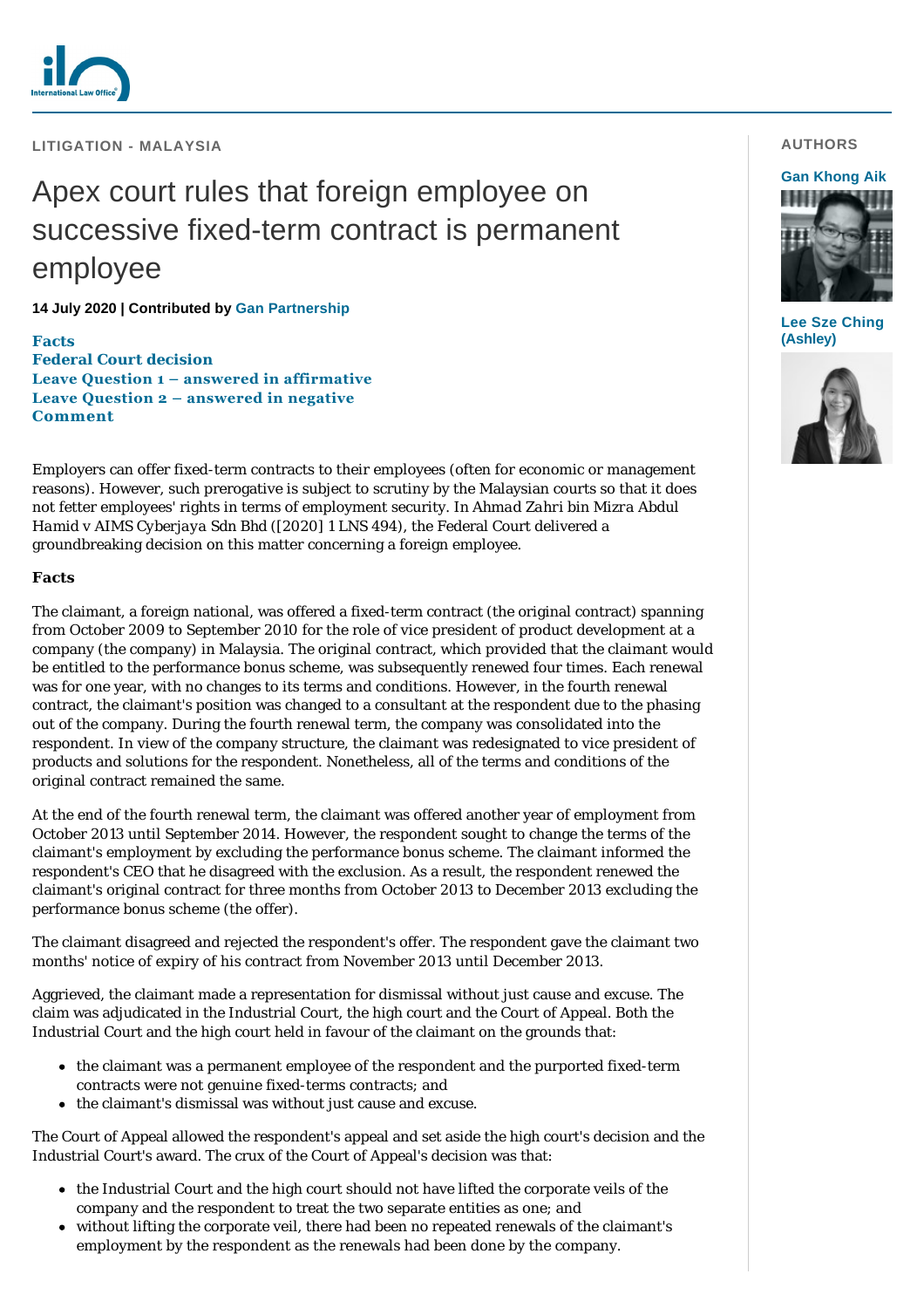

**LITIGATION - MALAYSIA**

# Apex court rules that foreign employee on successive fixed-term contract is permanent employee

### **14 July 2020 | Contributed by [Gan Partnership](https://www.internationallawoffice.com/gesr.ashx?l=91SFZW0)**

**[Facts](#page-0-0) [Federal Court decision](#page-1-0) [Leave Question 1 – answered in affirmative](#page-1-1) [Leave Question 2 – answered in negative](#page-1-2) [Comment](#page-1-3)**

Employers can offer fixed-term contracts to their employees (often for economic or management reasons). However, such prerogative is subject to scrutiny by the Malaysian courts so that it does not fetter employees' rights in terms of employment security. In *Ahmad Zahri bin Mizra Abdul Hamid v AIMS Cyberjaya Sdn Bhd* ([2020] 1 LNS 494), the Federal Court delivered a groundbreaking decision on this matter concerning a foreign employee.

#### <span id="page-0-0"></span>**Facts**

The claimant, a foreign national, was offered a fixed-term contract (the original contract) spanning from October 2009 to September 2010 for the role of vice president of product development at a company (the company) in Malaysia. The original contract, which provided that the claimant would be entitled to the performance bonus scheme, was subsequently renewed four times. Each renewal was for one year, with no changes to its terms and conditions. However, in the fourth renewal contract, the claimant's position was changed to a consultant at the respondent due to the phasing out of the company. During the fourth renewal term, the company was consolidated into the respondent. In view of the company structure, the claimant was redesignated to vice president of products and solutions for the respondent. Nonetheless, all of the terms and conditions of the original contract remained the same.

At the end of the fourth renewal term, the claimant was offered another year of employment from October 2013 until September 2014. However, the respondent sought to change the terms of the claimant's employment by excluding the performance bonus scheme. The claimant informed the respondent's CEO that he disagreed with the exclusion. As a result, the respondent renewed the claimant's original contract for three months from October 2013 to December 2013 excluding the performance bonus scheme (the offer).

The claimant disagreed and rejected the respondent's offer. The respondent gave the claimant two months' notice of expiry of his contract from November 2013 until December 2013.

Aggrieved, the claimant made a representation for dismissal without just cause and excuse. The claim was adjudicated in the Industrial Court, the high court and the Court of Appeal. Both the Industrial Court and the high court held in favour of the claimant on the grounds that:

- the claimant was a permanent employee of the respondent and the purported fixed-term contracts were not genuine fixed-terms contracts; and
- the claimant's dismissal was without just cause and excuse.

The Court of Appeal allowed the respondent's appeal and set aside the high court's decision and the Industrial Court's award. The crux of the Court of Appeal's decision was that:

- the Industrial Court and the high court should not have lifted the corporate veils of the company and the respondent to treat the two separate entities as one; and
- without lifting the corporate veil, there had been no repeated renewals of the claimant's employment by the respondent as the renewals had been done by the company.

# **AUTHORS**

### **[Gan Khong Aik](https://www.internationallawoffice.com/gesr.ashx?l=91SFZWF)**



**[Lee Sze Ching](https://www.internationallawoffice.com/gesr.ashx?l=91SFZWJ) (Ashley)**